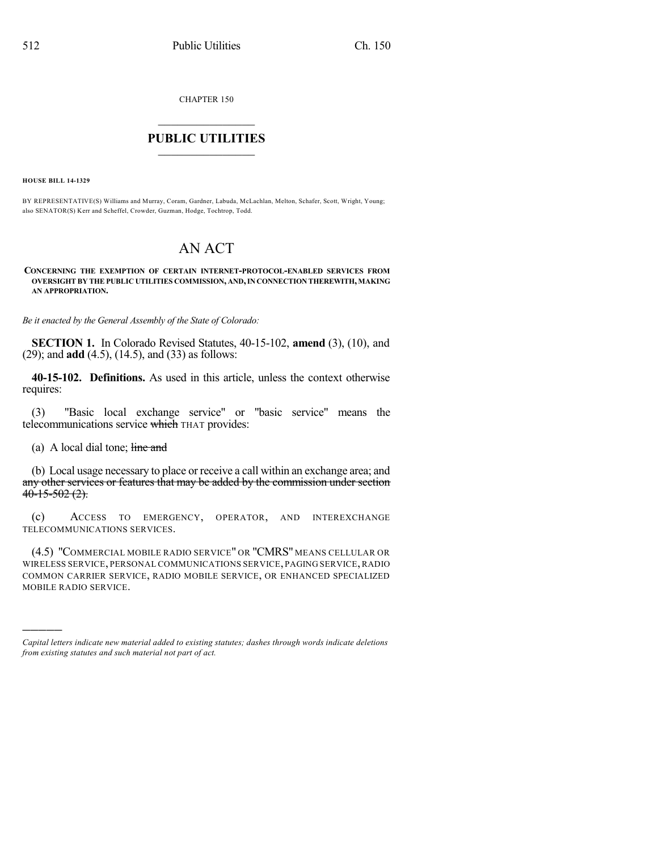CHAPTER 150

## $\mathcal{L}_\text{max}$  . The set of the set of the set of the set of the set of the set of the set of the set of the set of the set of the set of the set of the set of the set of the set of the set of the set of the set of the set **PUBLIC UTILITIES** \_\_\_\_\_\_\_\_\_\_\_\_\_\_\_

**HOUSE BILL 14-1329**

BY REPRESENTATIVE(S) Williams and Murray, Coram, Gardner, Labuda, McLachlan, Melton, Schafer, Scott, Wright, Young; also SENATOR(S) Kerr and Scheffel, Crowder, Guzman, Hodge, Tochtrop, Todd.

## AN ACT

## **CONCERNING THE EXEMPTION OF CERTAIN INTERNET-PROTOCOL-ENABLED SERVICES FROM OVERSIGHT BY THE PUBLIC UTILITIES COMMISSION, AND,IN CONNECTION THEREWITH, MAKING AN APPROPRIATION.**

*Be it enacted by the General Assembly of the State of Colorado:*

**SECTION 1.** In Colorado Revised Statutes, 40-15-102, **amend** (3), (10), and (29); and **add** (4.5), (14.5), and (33) as follows:

**40-15-102. Definitions.** As used in this article, unless the context otherwise requires:

(3) "Basic local exchange service" or "basic service" means the telecommunications service which THAT provides:

(a) A local dial tone;  $\frac{1}{2}$  ine and

)))))

(b) Local usage necessary to place or receive a call within an exchange area; and any other services or features that may be added by the commission under section  $40-15-502(2)$ .

(c) ACCESS TO EMERGENCY, OPERATOR, AND INTEREXCHANGE TELECOMMUNICATIONS SERVICES.

(4.5) "COMMERCIAL MOBILE RADIO SERVICE" OR "CMRS" MEANS CELLULAR OR WIRELESS SERVICE, PERSONAL COMMUNICATIONS SERVICE, PAGING SERVICE, RADIO COMMON CARRIER SERVICE, RADIO MOBILE SERVICE, OR ENHANCED SPECIALIZED MOBILE RADIO SERVICE.

*Capital letters indicate new material added to existing statutes; dashes through words indicate deletions from existing statutes and such material not part of act.*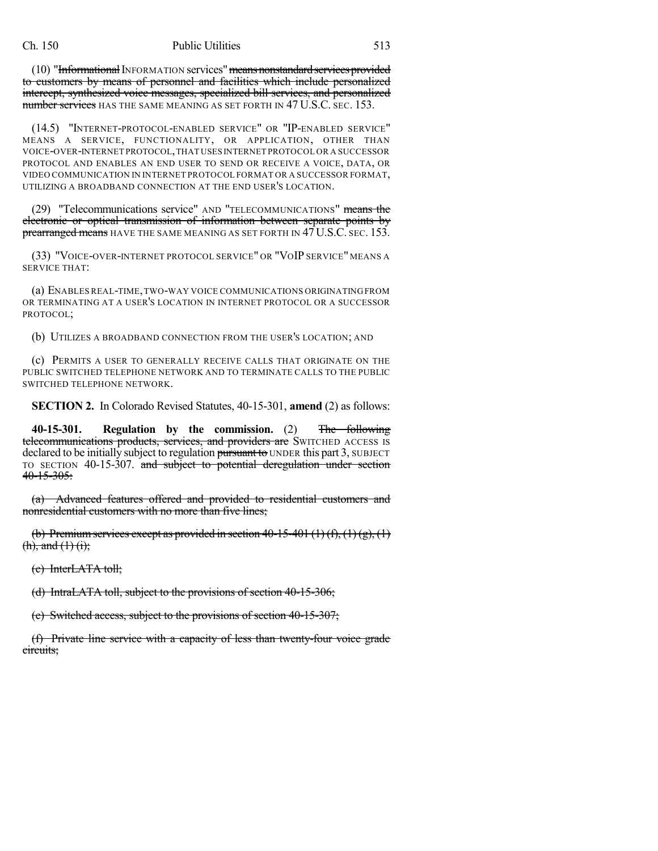(10) "Informational INFORMATION services" means nonstandard services provided to customers by means of personnel and facilities which include personalized intercept, synthesized voice messages, specialized bill services, and personalized number services has the same meaning as set forth in 47 U.S.C. sec. 153.

(14.5) "INTERNET-PROTOCOL-ENABLED SERVICE" OR "IP-ENABLED SERVICE" MEANS A SERVICE, FUNCTIONALITY, OR APPLICATION, OTHER THAN VOICE-OVER-INTERNET PROTOCOL,THAT USES INTERNET PROTOCOL OR A SUCCESSOR PROTOCOL AND ENABLES AN END USER TO SEND OR RECEIVE A VOICE, DATA, OR VIDEO COMMUNICATION IN INTERNET PROTOCOL FORMAT OR A SUCCESSOR FORMAT, UTILIZING A BROADBAND CONNECTION AT THE END USER'S LOCATION.

(29) "Telecommunications service" AND "TELECOMMUNICATIONS" means the electronic or optical transmission of information between separate points by prearranged means HAVE THE SAME MEANING AS SET FORTH IN 47 U.S.C. SEC. 153.

(33) "VOICE-OVER-INTERNET PROTOCOL SERVICE" OR "VOIP SERVICE" MEANS A SERVICE THAT:

(a) ENABLES REAL-TIME,TWO-WAY VOICE COMMUNICATIONS ORIGINATING FROM OR TERMINATING AT A USER'S LOCATION IN INTERNET PROTOCOL OR A SUCCESSOR PROTOCOL;

(b) UTILIZES A BROADBAND CONNECTION FROM THE USER'S LOCATION; AND

(c) PERMITS A USER TO GENERALLY RECEIVE CALLS THAT ORIGINATE ON THE PUBLIC SWITCHED TELEPHONE NETWORK AND TO TERMINATE CALLS TO THE PUBLIC SWITCHED TELEPHONE NETWORK.

**SECTION 2.** In Colorado Revised Statutes, 40-15-301, **amend** (2) as follows:

**40-15-301. Regulation by the commission.** (2) The following telecommunications products, services, and providers are SWITCHED ACCESS IS declared to be initially subject to regulation pursuant to UNDER this part 3, SUBJECT TO SECTION 40-15-307. and subject to potential deregulation under section  $40 - 15 - 305$ :

(a) Advanced features offered and provided to residential customers and nonresidential customers with no more than five lines;

(b) Premium services except as provided in section  $40-15-401(1)(f)$ ,  $(1)(g)$ ,  $(1)$  $(h),$  and  $(1)$   $(i);$ 

(c) InterLATA toll;

(d) IntraLATA toll, subject to the provisions of section 40-15-306;

(e) Switched access, subject to the provisions of section 40-15-307;

(f) Private line service with a capacity of less than twenty-four voice grade circuits;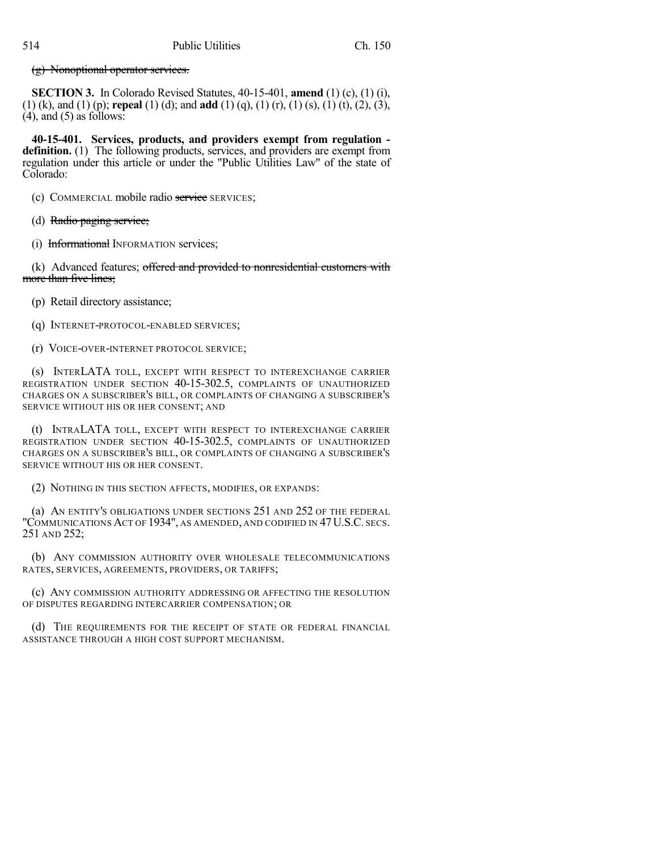(g) Nonoptional operator services.

**SECTION 3.** In Colorado Revised Statutes, 40-15-401, **amend** (1) (c), (1) (i), (1) (k), and (1) (p); **repeal** (1) (d); and **add** (1) (q), (1) (r), (1) (s), (1) (t), (2), (3),  $(4)$ , and  $(5)$  as follows:

**40-15-401. Services, products, and providers exempt from regulation definition.** (1) The following products, services, and providers are exempt from regulation under this article or under the "Public Utilities Law" of the state of Colorado:

(c) COMMERCIAL mobile radio service SERVICES;

(d) Radio paging service;

(i) Informational INFORMATION services;

(k) Advanced features; offered and provided to nonresidential customers with more than five lines;

(p) Retail directory assistance;

(q) INTERNET-PROTOCOL-ENABLED SERVICES;

(r) VOICE-OVER-INTERNET PROTOCOL SERVICE;

(s) INTERLATA TOLL, EXCEPT WITH RESPECT TO INTEREXCHANGE CARRIER REGISTRATION UNDER SECTION 40-15-302.5, COMPLAINTS OF UNAUTHORIZED CHARGES ON A SUBSCRIBER'S BILL, OR COMPLAINTS OF CHANGING A SUBSCRIBER'S SERVICE WITHOUT HIS OR HER CONSENT; AND

(t) INTRALATA TOLL, EXCEPT WITH RESPECT TO INTEREXCHANGE CARRIER REGISTRATION UNDER SECTION 40-15-302.5, COMPLAINTS OF UNAUTHORIZED CHARGES ON A SUBSCRIBER'S BILL, OR COMPLAINTS OF CHANGING A SUBSCRIBER'S SERVICE WITHOUT HIS OR HER CONSENT.

(2) NOTHING IN THIS SECTION AFFECTS, MODIFIES, OR EXPANDS:

(a) AN ENTITY'S OBLIGATIONS UNDER SECTIONS 251 AND 252 OF THE FEDERAL "COMMUNICATIONS ACT OF 1934", AS AMENDED, AND CODIFIED IN 47U.S.C. SECS. 251 AND 252;

(b) ANY COMMISSION AUTHORITY OVER WHOLESALE TELECOMMUNICATIONS RATES, SERVICES, AGREEMENTS, PROVIDERS, OR TARIFFS;

(c) ANY COMMISSION AUTHORITY ADDRESSING OR AFFECTING THE RESOLUTION OF DISPUTES REGARDING INTERCARRIER COMPENSATION; OR

(d) THE REQUIREMENTS FOR THE RECEIPT OF STATE OR FEDERAL FINANCIAL ASSISTANCE THROUGH A HIGH COST SUPPORT MECHANISM.